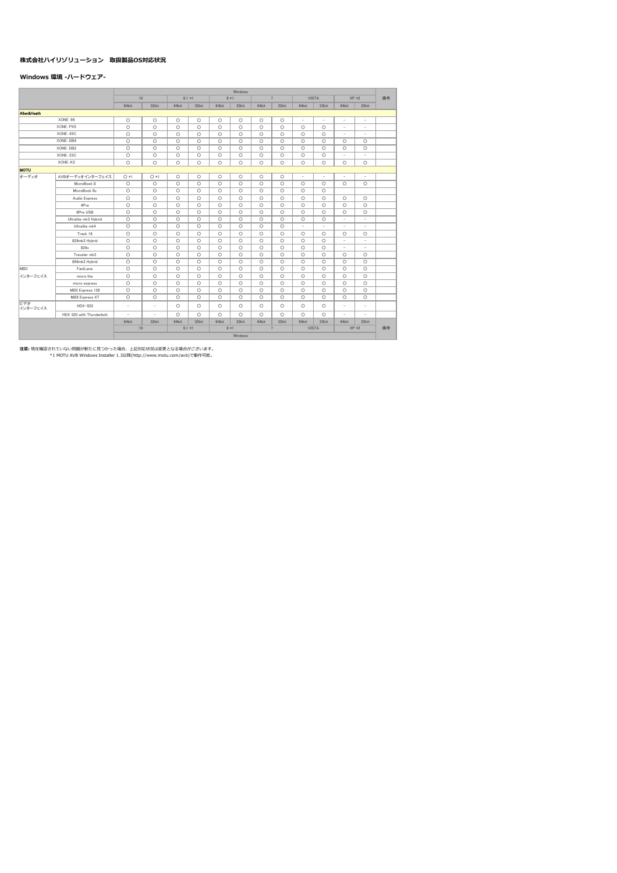# 株式会社ハイリゾリューション 取扱製品OS対応状況

## Windows 環境 -ハードウェア-

|                        |                          |                          | Windows                  |         |          |         |         |         |                |                          |                          |                          |                          |    |  |
|------------------------|--------------------------|--------------------------|--------------------------|---------|----------|---------|---------|---------|----------------|--------------------------|--------------------------|--------------------------|--------------------------|----|--|
|                        |                          | 10                       |                          |         | $8.1 *1$ |         | $8 * 1$ |         | $\overline{7}$ |                          | <b>VISTA</b>             |                          | $XP *2$                  | 備者 |  |
|                        |                          | 64bit                    | 32bit                    | 64bit   | 32bit    | 64bit   | 32bit   | 64bit   | 32bit          | 64bit                    | 32bit                    | 64bit                    | 32bit                    |    |  |
| <b>Allen&amp;Heath</b> |                          |                          |                          |         |          |         |         |         |                |                          |                          |                          |                          |    |  |
|                        | XONE: 96                 | $\circ$                  | $\circ$                  | $\circ$ | $\circ$  | $\circ$ | $\circ$ | $\circ$ | $\circ$        | $\overline{\phantom{a}}$ | ÷                        | $\overline{\phantom{a}}$ | $\overline{\phantom{a}}$ |    |  |
|                        | XONE: PX5                | $\circ$                  | $\circ$                  | $\circ$ | $\circ$  | $\circ$ | $\circ$ | $\circ$ | $\circ$        | $\circ$                  | $\circ$                  | $\overline{\phantom{a}}$ | $\overline{\phantom{a}}$ |    |  |
|                        | XONE: 43C                | $\circ$                  | $\circ$                  | $\circ$ | $\circ$  | $\circ$ | $\circ$ | $\circ$ | $\circ$        | $\circ$                  | $\circ$                  | $\overline{\phantom{a}}$ | ٠                        |    |  |
|                        | XONE: DB4                | $\circ$                  | $\circ$                  | $\circ$ | $\circ$  | $\circ$ | $\circ$ | $\circ$ | $\circ$        | $\circ$                  | $\circ$                  | $\circ$                  | $\circ$                  |    |  |
|                        | XONE: DB2                | $\circ$                  | $\circ$                  | $\circ$ | $\circ$  | $\circ$ | $\circ$ | $\circ$ | $\circ$        | $\circ$                  | $\circ$                  | $\circ$                  | $\circ$                  |    |  |
|                        | XONE: 23C                | $\circ$                  | $\circ$                  | $\circ$ | $\circ$  | $\circ$ | $\circ$ | $\circ$ | $\circ$        | $\circ$                  | $\circ$                  | $\overline{\phantom{a}}$ | $\overline{\phantom{a}}$ |    |  |
|                        | XONE: K2                 | O                        | $\circ$                  | O       | $\circ$  | $\circ$ | $\circ$ | O       | $\circ$        | O                        | $\circ$                  | $\circ$                  | $\circ$                  |    |  |
| <b>MOTU</b>            |                          |                          |                          |         |          |         |         |         |                |                          |                          |                          |                          |    |  |
| オーディオ                  | AVBオーディオインターフェイス         | $O*1$                    | $O * 1$                  | $\circ$ | $\circ$  | $\circ$ | $\circ$ | $\circ$ | $\circ$        | $\overline{\phantom{a}}$ | $\overline{\phantom{0}}$ | $\overline{\phantom{a}}$ | $\overline{\phantom{a}}$ |    |  |
|                        | MicroBook II             | $\circ$                  | $\circ$                  | $\circ$ | $\circ$  | $\circ$ | $\circ$ | $\circ$ | $\circ$        | $\circ$                  | $\circ$                  | $\circ$                  | $\circ$                  |    |  |
|                        | MicroBook IIc            | $\circ$                  | $\circ$                  | $\circ$ | $\circ$  | $\circ$ | $\circ$ | $\circ$ | $\circ$        | $\circ$                  | $\circ$                  |                          |                          |    |  |
|                        | Audio Express            | $\circ$                  | $\circ$                  | $\circ$ | $\circ$  | $\circ$ | $\circ$ | $\circ$ | $\circ$        | $\circ$                  | $\circ$                  | $\circ$                  | $\circ$                  |    |  |
|                        | 4Pre                     | $\circ$                  | $\circ$                  | $\circ$ | $\circ$  | $\circ$ | $\circ$ | $\circ$ | $\circ$        | $\circ$                  | $\circ$                  | $\circ$                  | O                        |    |  |
|                        | 8Pre USB                 | $\circ$                  | $\circ$                  | $\circ$ | $\circ$  | $\circ$ | $\circ$ | $\circ$ | $\circ$        | $\circ$                  | $\circ$                  | $\circ$                  | $\circ$                  |    |  |
|                        | Ultralite mk3 Hybrid     | $\circ$                  | $\circ$                  | $\circ$ | $\circ$  | $\circ$ | $\circ$ | $\circ$ | $\circ$        | $\circ$                  | $\circ$                  | ×,                       | ÷                        |    |  |
|                        | Ultralite mk4            | $\circ$                  | $\circ$                  | $\circ$ | $\circ$  | $\circ$ | $\circ$ | $\circ$ | $\circ$        | ٠                        | ٠                        | ٠                        | $\sim$                   |    |  |
|                        | Track 16                 | $\circ$                  | $\circ$                  | $\circ$ | $\circ$  | $\circ$ | $\circ$ | $\circ$ | $\circ$        | $\circ$                  | $\circ$                  | $\circ$                  | $\circ$                  |    |  |
|                        | 828mk3 Hybrid            | $\circ$                  | $\circ$                  | $\circ$ | $\circ$  | $\circ$ | $\circ$ | $\circ$ | $\circ$        | $\circ$                  | $\circ$                  | $\overline{\phantom{a}}$ | $\overline{\phantom{a}}$ |    |  |
|                        | 828x                     | $\circ$                  | $\circ$                  | $\circ$ | $\circ$  | $\circ$ | $\circ$ | $\circ$ | $\circ$        | $\circ$                  | $\circ$                  | $\overline{\phantom{a}}$ | $\sim$                   |    |  |
|                        | Traveler mk3             | $\circ$                  | $\circ$                  | $\circ$ | $\circ$  | $\circ$ | $\circ$ | $\circ$ | $\circ$        | $\circ$                  | $\circ$                  | $\circ$                  | $\circ$                  |    |  |
|                        | 896mk3 Hybrid            | $\circ$                  | $\circ$                  | $\circ$ | $\circ$  | $\circ$ | $\circ$ | $\circ$ | $\circ$        | $\circ$                  | $\circ$                  | $\circ$                  | $\circ$                  |    |  |
| MIDI                   | FastLane                 | $\circ$                  | $\circ$                  | $\circ$ | $\circ$  | $\circ$ | $\circ$ | $\circ$ | $\circ$        | $\circ$                  | $\circ$                  | $\circ$                  | O                        |    |  |
| インターフェイス               | micro lite               | O                        | $\circ$                  | $\circ$ | $\circ$  | $\circ$ | $\circ$ | $\circ$ | $\circ$        | $\circ$                  | $\circ$                  | $\circ$                  | O                        |    |  |
|                        | micro express            | $\circ$                  | $\circ$                  | $\circ$ | $\circ$  | $\circ$ | $\circ$ | $\circ$ | $\circ$        | $\circ$                  | $\circ$                  | $\circ$                  | $\circ$                  |    |  |
|                        | MIDI Express 128         | $\circ$                  | $\circ$                  | $\circ$ | $\circ$  | $\circ$ | $\circ$ | $\circ$ | $\circ$        | $\circ$                  | $\circ$                  | $\circ$                  | $\circ$                  |    |  |
|                        | <b>MIDI Express XT</b>   | O                        | $\circ$                  | $\circ$ | $\circ$  | $\circ$ | $\circ$ | $\circ$ | $\circ$        | $\circ$                  | $\circ$                  | $\circ$                  | O                        |    |  |
| ビデオ<br>インターフェイス        | HDX-SDI                  | $\overline{\phantom{a}}$ | $\overline{\phantom{m}}$ | $\circ$ | $\circ$  | $\circ$ | $\circ$ | $\circ$ | $\circ$        | $\circ$                  | $\circ$                  | $\overline{\phantom{a}}$ | $\overline{\phantom{a}}$ |    |  |
|                        | HDX SDI with Thunderbolt | ٠                        | ٠                        | $\circ$ | $\circ$  | $\circ$ | $\circ$ | $\circ$ | $\circ$        | O                        | $\circ$                  | ٠                        | $\sim$                   |    |  |
|                        |                          | 64bit                    | 32bit                    | 64bit   | 32bit    | 64bit   | 32bit   | 64bit   | 32bit          | 64bit                    | 32bit                    | 64bit                    | 32bit                    |    |  |
|                        |                          | 10                       |                          |         | $8.1 *1$ |         | $8 * 1$ |         | $\overline{7}$ |                          | <b>VISTA</b>             |                          | $XP *2$                  | 備者 |  |
|                        |                          | Windows                  |                          |         |          |         |         |         |                |                          |                          |                          |                          |    |  |

注意:現在確認されていない問題が新たに見つかった場合、上記対応状況は変更となる場合がございます。<br>\*1 MOTU AVB Windows Installer 1.3以降(http://www.motu.com/avb)で動作可能。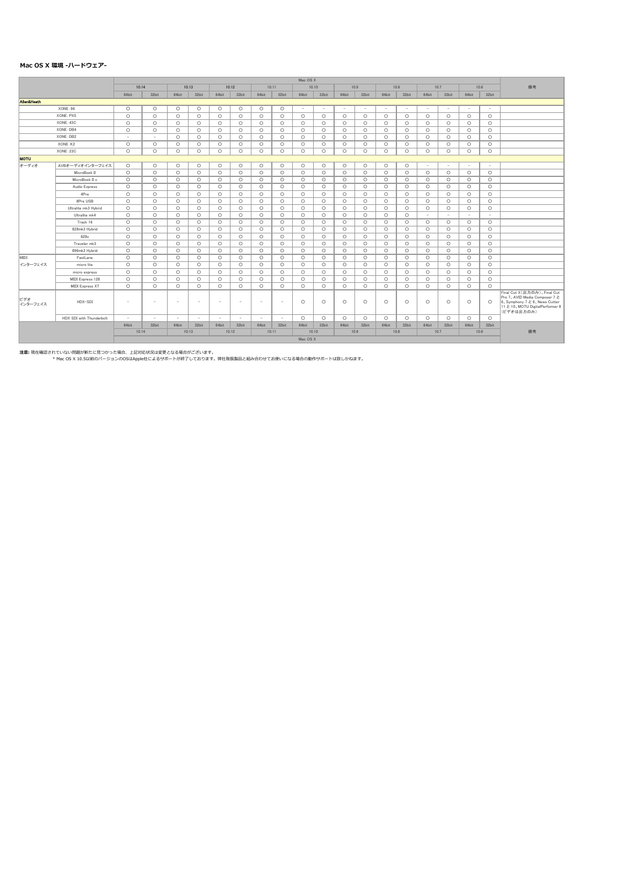### Mac OS X 環境 -ハードウェア-

|                 |                          | Mac OS X                         |                          |                          |                          |                          |                          |         |         |                               |         |         |         |         |         |         |         |            |         |                                                                                                                                               |
|-----------------|--------------------------|----------------------------------|--------------------------|--------------------------|--------------------------|--------------------------|--------------------------|---------|---------|-------------------------------|---------|---------|---------|---------|---------|---------|---------|------------|---------|-----------------------------------------------------------------------------------------------------------------------------------------------|
|                 |                          | 10.14                            |                          |                          | 10.13                    |                          | 10.12                    |         | 10.11   |                               | 10.10   |         | 10.9    |         | 10.8    |         | 10.7    |            | 10.6    | 備考                                                                                                                                            |
|                 |                          | 64bit                            | 32bit                    | 64bit                    | 32bit                    | 64bit                    | 32bit                    | 64bit   | 32bit   | 64bit                         | 32bit   | 64bit   | 32bit   | 64bit   | 32bit   | 64bit   | 32bit   | 64bit      | 32bit   |                                                                                                                                               |
| Allen&Heath     |                          |                                  |                          |                          |                          |                          |                          |         |         |                               |         |         |         |         |         |         |         |            |         |                                                                                                                                               |
|                 | XONE:96                  | $\circ$                          | $\circ$                  | $\circ$                  | $\circ$                  | $\circ$                  | $\circ$                  | $\circ$ | $\circ$ | $\sim$                        |         | ٠       | $\sim$  | $\sim$  | $\sim$  | $\sim$  | $\sim$  | $\sim$     | $\sim$  |                                                                                                                                               |
|                 | XONE: PX5                | $\circ$                          | $\circ$                  | $\circ$                  | $\circ$                  | $\circ$                  | $\circ$                  | $\circ$ | $\circ$ | $\circ$                       | $\circ$ | $\circ$ | $\circ$ | $\circ$ | $\circ$ | $\circ$ | $\circ$ | $\circ$    | $\circ$ |                                                                                                                                               |
|                 | XONE: 43C                | $\circ$                          | $\circ$                  | $\circ$                  | $\circ$                  | $\circ$                  | $\circ$                  | $\circ$ | $\circ$ | $\circ$                       | $\circ$ | $\circ$ | $\circ$ | $\circ$ | $\circ$ | $\circ$ | $\circ$ | $\circ$    | $\circ$ |                                                                                                                                               |
|                 | XONE: DB4                | $\circ$                          | $\circ$                  | $\circ$                  | $\circ$                  | $\circ$                  | $\circ$                  | $\circ$ | $\circ$ | $\circ$                       | $\circ$ | $\circ$ | $\circ$ | $\circ$ | $\circ$ | $\circ$ | $\circ$ | $\circ$    | $\circ$ |                                                                                                                                               |
|                 | XONE: DB2                | $\sim$                           | $\sim$                   | $\circ$                  | $\circ$                  | $\circ$                  | $\circ$                  | $\circ$ | $\circ$ | $\circ$                       | $\circ$ | $\circ$ | $\circ$ | $\circ$ | $\circ$ | $\circ$ | $\circ$ | $\circ$    | $\circ$ |                                                                                                                                               |
|                 | XONE: K2                 | $\circ$                          | $\circ$                  | $\circ$                  | $\circ$                  | $\circ$                  | $\circ$                  | $\circ$ | $\circ$ | $\circ$                       | $\circ$ | $\circ$ | $\circ$ | $\circ$ | $\circ$ | $\circ$ | $\circ$ | $\circ$    | $\circ$ |                                                                                                                                               |
|                 | XONE: 23C                | $\circ$                          | $\circ$                  | $\circ$                  | $\circ$                  | $\circ$                  | $\circ$                  | $\circ$ | $\circ$ | $\circ$                       | $\circ$ | $\circ$ | $\circ$ | $\circ$ | $\circ$ | $\circ$ | $\circ$ | $\circ$    | $\circ$ |                                                                                                                                               |
| <b>MOTU</b>     |                          |                                  |                          |                          |                          |                          |                          |         |         |                               |         |         |         |         |         |         |         |            |         |                                                                                                                                               |
| オーディオ           | AVBオーディオインターフェイス         | $\circ$                          | $\circ$                  | $\circ$                  | $\circ$                  | $\circ$                  | $\circ$                  | $\circ$ | $\circ$ | $\circ$                       | $\circ$ | $\circ$ | $\circ$ | $\circ$ | $\circ$ | $\sim$  | ٠       | $\sim$     | $\sim$  |                                                                                                                                               |
|                 | MicroBook II             | $\circ$                          | $\circ$                  | $\circ$                  | $\circ$                  | $\circ$                  | $\circ$                  | $\circ$ | $\circ$ | $\circ$                       | $\circ$ | $\circ$ | $\circ$ | $\circ$ | $\circ$ | $\circ$ | $\circ$ | $\circ$    | $\circ$ |                                                                                                                                               |
|                 | MicroBook II c           | $\circ$                          | $\circ$                  | $\circ$                  | $\circ$                  | $\circ$                  | $\circ$                  | $\circ$ | $\circ$ | $\circ$                       | $\circ$ | $\circ$ | $\circ$ | $\circ$ | $\circ$ | $\circ$ | $\circ$ | $\circ$    | $\circ$ |                                                                                                                                               |
|                 | Audio Express            | $\circ$                          | $\circ$                  | $\circ$                  | $\circ$                  | $\circ$                  | $\circ$                  | $\circ$ | $\circ$ | $\circ$                       | $\circ$ | $\circ$ | $\circ$ | $\circ$ | $\circ$ | $\circ$ | $\circ$ | $\circ$    | $\circ$ |                                                                                                                                               |
|                 | 4Pre                     | $\circ$                          | $\circ$                  | $\circ$                  | $\circ$                  | $\circ$                  | $\circ$                  | $\circ$ | $\circ$ | $\circ$                       | $\circ$ | $\circ$ | $\circ$ | $\circ$ | $\circ$ | $\circ$ | $\circ$ | $\circ$    | $\circ$ |                                                                                                                                               |
|                 | 8Pre USB                 | $\circ$                          | $\circ$                  | $\circ$                  | $\circ$                  | $\circ$                  | $\circ$                  | $\circ$ | $\circ$ | $\circ$                       | $\circ$ | $\circ$ | $\circ$ | $\circ$ | $\circ$ | $\circ$ | $\circ$ | $\circ$    | $\circ$ |                                                                                                                                               |
|                 | Ultralite mk3 Hybrid     | $\circ$                          | $\circ$                  | $\circ$                  | $\circ$                  | $\circ$                  | $\circ$                  | $\circ$ | $\circ$ | $\circ$                       | $\circ$ | $\circ$ | $\circ$ | $\circ$ | $\circ$ | $\circ$ | $\circ$ | $\circ$    | $\circ$ |                                                                                                                                               |
|                 | Ultralite mk4            | $\circ$                          | $\circ$                  | $\circ$                  | $\circ$                  | $\circ$                  | $\circ$                  | $\circ$ | $\circ$ | $\circ$                       | $\circ$ | $\circ$ | $\circ$ | $\circ$ | $\circ$ | $\sim$  | $\sim$  | $\sim$     | $\sim$  |                                                                                                                                               |
|                 | Track 16                 | $\circ$                          | $\circ$                  | $\circ$                  | $\circ$                  | $\circ$                  | $\circ$                  | $\circ$ | $\circ$ | $\circ$                       | $\circ$ | $\circ$ | $\circ$ | $\circ$ | $\circ$ | $\circ$ | $\circ$ | $\circ$    | $\circ$ |                                                                                                                                               |
|                 | 828mk3 Hybrid            | $\circ$                          | $\circ$                  | $\circ$                  | $\circ$                  | $\circ$                  | $\circ$                  | $\circ$ | $\circ$ | $\circ$                       | $\circ$ | $\circ$ | $\circ$ | $\circ$ | $\circ$ | $\circ$ | $\circ$ | $\circ$    | $\circ$ |                                                                                                                                               |
|                 | 828x                     | $\circ$                          | $\circ$                  | $\circ$                  | $\circ$                  | $\circ$                  | $\circ$                  | $\circ$ | $\circ$ | $\circ$                       | $\circ$ | $\circ$ | $\circ$ | $\circ$ | $\circ$ | $\circ$ | $\circ$ | $\circ$    | $\circ$ |                                                                                                                                               |
|                 | Traveler mk3             | $\circ$                          | $\circ$                  | $\circ$                  | $\circ$                  | $\circ$                  | $\circ$                  | $\circ$ | $\circ$ | $\circ$                       | $\circ$ | $\circ$ | $\circ$ | $\circ$ | $\circ$ | $\circ$ | $\circ$ | $\circ$    | $\circ$ |                                                                                                                                               |
|                 | 896mk3 Hybrid            | $\circ$                          | $\circ$                  | $\circ$                  | $\circ$                  | $\circ$                  | $\circ$                  | $\circ$ | $\circ$ | $\circ$                       | $\circ$ | $\circ$ | $\circ$ | $\circ$ | $\circ$ | $\circ$ | $\circ$ | $\circ$    | $\circ$ |                                                                                                                                               |
| MIDI            | FastLane                 | $\circ$                          | $\circ$                  | $\circ$                  | $\circ$                  | $\circ$                  | $\circ$                  | $\circ$ | $\circ$ | $\circ$                       | $\circ$ | $\circ$ | $\circ$ | $\circ$ | $\circ$ | $\circ$ | $\circ$ | $\circ$    | $\circ$ |                                                                                                                                               |
| インターフェイス        | micro lite               | $\circ$                          | $\circ$                  | $\circ$                  | $\circ$                  | $\circ$                  | $\circ$                  | $\circ$ | $\circ$ | $\circ$                       | $\circ$ | $\circ$ | $\circ$ | $\circ$ | $\circ$ | $\circ$ | $\circ$ | $\circ$    | $\circ$ |                                                                                                                                               |
|                 | micro express            | $\circ$                          | $\circ$                  | $\circ$                  | $\circ$                  | $\circ$                  | $\circ$                  | $\circ$ | $\circ$ | $\circ$                       | $\circ$ | $\circ$ | $\circ$ | $\circ$ | $\circ$ | $\circ$ | $\circ$ | $\circ$    | $\circ$ |                                                                                                                                               |
|                 | MIDI Express 128         | $\circ$                          | $\circ$                  | $\circ$                  | $\circ$                  | $\circ$                  | $\circ$                  | $\circ$ | $\circ$ | $\circ$                       | $\circ$ | $\circ$ | $\circ$ | $\circ$ | $\circ$ | $\circ$ | $\circ$ | $\circ$    | $\circ$ |                                                                                                                                               |
|                 | <b>MIDI Express XT</b>   | $\circ$                          | $\circ$                  | $\circ$                  | $\circ$                  | $\circ$                  | $\circ$                  | $\circ$ | $\circ$ | $\circ$                       | $\circ$ | $\circ$ | $\circ$ | $\circ$ | $\circ$ | $\circ$ | $\circ$ | $\circ$    | $\circ$ |                                                                                                                                               |
| ビデオ<br>インターフェイス | HDX-SDI                  | $\overline{\phantom{a}}$         | $\overline{\phantom{a}}$ | $\overline{\phantom{a}}$ | $\overline{\phantom{a}}$ | $\overline{\phantom{a}}$ | $\sim$                   | $\sim$  | $\sim$  | $\circ$                       | $\circ$ | $\circ$ | $\circ$ | $\circ$ | $\circ$ | $\circ$ | $\circ$ | $\circ$    | $\circ$ | Final Cut X(出力のみ)、Final Cut<br>Pro 7、AVID Media Composer 7 と<br>6、Symphony 7 と 6、News Cutter<br>11 と 10、MOTU DigitalPerformer 8<br>(ビデオは出力のみ) |
|                 | HDX SDI with Thunderbolt | $\sim$                           | $\sim$                   | $\sim$                   | $\sim$                   | $\overline{\phantom{a}}$ | $\overline{\phantom{a}}$ | $\sim$  | $\sim$  | $\circ$                       | $\circ$ | $\circ$ | $\circ$ | $\circ$ | $\circ$ | $\circ$ | $\circ$ | $\circ$    | $\circ$ |                                                                                                                                               |
|                 |                          | 64bit                            | 32bit                    | 64bit                    | 32bit                    | 64bit                    | 32bit                    | 64bit   | 32bit   | 64bit                         | 32bit   | 64bit   | 32bit   | 64bit   | 32bit   | 64bit   | 32bit   | 64bit      | 32bit   |                                                                                                                                               |
|                 |                          | 10.14<br>10.13<br>10.12<br>10.11 |                          |                          |                          |                          |                          |         |         | 10.10<br>10.9<br>10.8<br>10.7 |         |         |         |         |         |         |         | 備考<br>10.6 |         |                                                                                                                                               |
|                 |                          |                                  |                          |                          |                          |                          |                          |         |         | Mac OS X                      |         |         |         |         |         |         |         |            |         |                                                                                                                                               |

注意:現在確認されていない問題が新たに見つかった場合、上記対応状況は変更となる場合がございます。<br>\* Mac OS X 10.5以前のバージョンのOSはApple社によるサポートが終了しております。弊社取扱製品と組み合わせてお使いになる場合の動作サポートは致しかねます。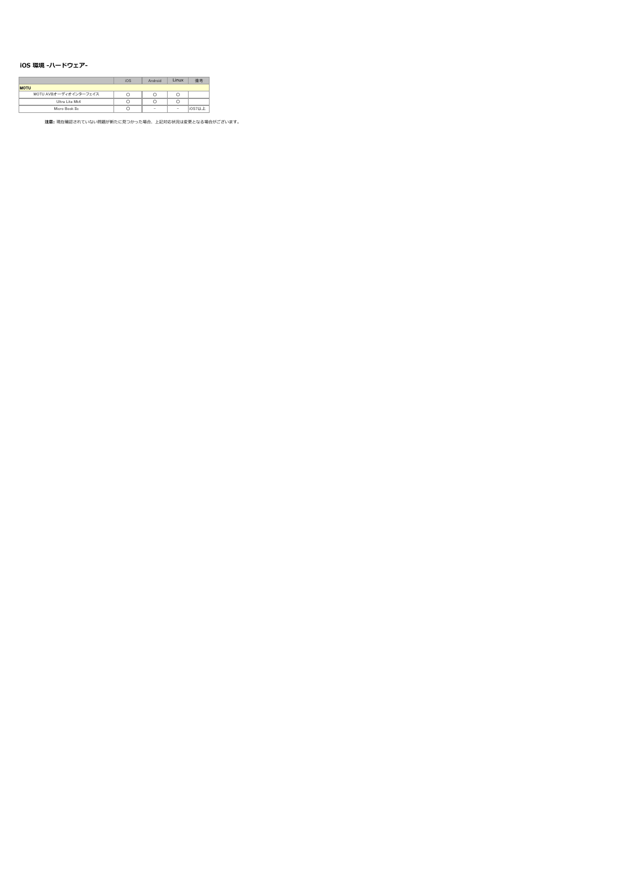### iOS 環境 -ハードウェア-

|                       | iOS | Android | Linux  |        |
|-----------------------|-----|---------|--------|--------|
| <b>MOTU</b>           |     |         |        |        |
| MOTU AVBオーディオインターフェイス |     |         |        |        |
| Ultra Lite Mk4        |     |         |        |        |
| Micro Book IIc.       |     | $\sim$  | $\sim$ | ios7以上 |

注意: 現在確認されていない問題が新たに⾒つかった場合、上記対応状況は変更となる場合がございます。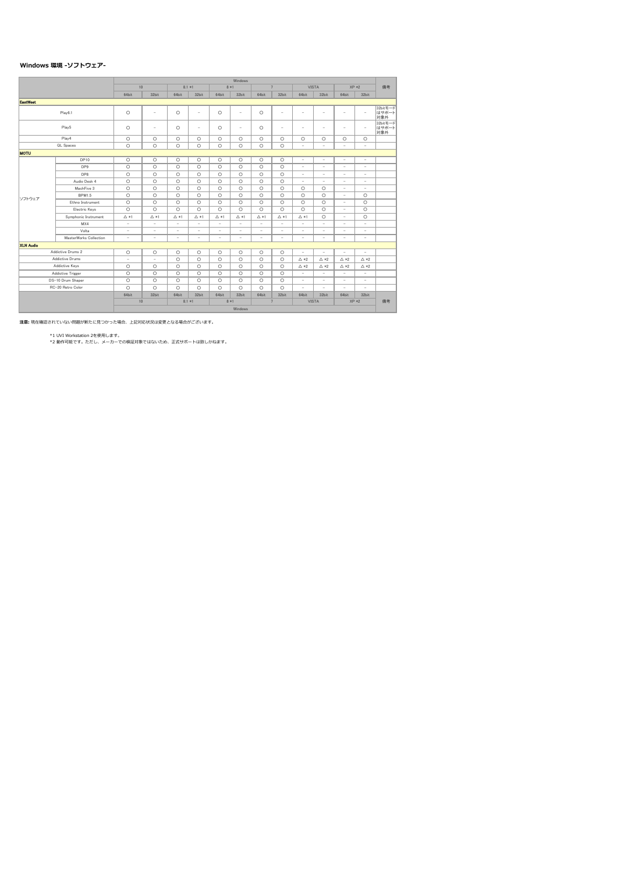### Windows 環境 -ソフトウェア-

|                  |                        |                          | Windows                  |                          |                          |                          |                          |                          |                          |                          |                          |                          |                          |                          |  |
|------------------|------------------------|--------------------------|--------------------------|--------------------------|--------------------------|--------------------------|--------------------------|--------------------------|--------------------------|--------------------------|--------------------------|--------------------------|--------------------------|--------------------------|--|
|                  |                        | 10                       |                          |                          | $8.1 *1$                 |                          | $8 * 1$                  |                          | $\overline{7}$           | <b>VISTA</b>             |                          |                          | $XP *2$                  | 備考                       |  |
|                  |                        | 64bit                    | 32bit                    | 64bit                    | 32bit                    | 64bit                    | 32bit                    | 64bit                    | 32bit                    | 64bit                    | 32bit                    | 64bit                    | 32bit                    |                          |  |
| <b>EastWest</b>  |                        |                          |                          |                          |                          |                          |                          |                          |                          |                          |                          |                          |                          |                          |  |
|                  | Play6.1                | $\circ$                  | ۰                        | $\circ$                  | ٠                        | $\circ$                  | ٠                        | $\circ$                  | $\overline{\phantom{a}}$ | ٠                        | ÷                        | ٠                        | ٠                        | 32bitモード<br>はサポート<br>対象外 |  |
|                  | Play5                  | $\circ$                  | $\overline{\phantom{a}}$ | $\circ$                  | $\sim$                   | $\circ$                  | $\overline{\phantom{a}}$ | $\circ$                  | $\overline{\phantom{a}}$ | $\overline{\phantom{a}}$ | $\sim$                   | ٠                        | $\overline{\phantom{a}}$ | 32bitモード<br>はサポート<br>対象外 |  |
|                  | Play4                  | $\circ$                  | $\circ$                  | $\circ$                  | $\circ$                  | $\circ$                  | $\circ$                  | $\circ$                  | $\circ$                  | $\circ$                  | $\circ$                  | $\circ$                  | $\circ$                  |                          |  |
|                  | <b>QL</b> Spaces       | $\circ$                  | $\circ$                  | $\circ$                  | $\circ$                  | $\circ$                  | $\circ$                  | $\circ$                  | $\circ$                  | $\overline{\phantom{a}}$ | $\overline{\phantom{a}}$ | $\overline{\phantom{a}}$ | $\overline{\phantom{a}}$ |                          |  |
| <b>MOTU</b>      |                        |                          |                          |                          |                          |                          |                          |                          |                          |                          |                          |                          |                          |                          |  |
|                  | DP10                   | $\circ$                  | $\circ$                  | $\circ$                  | $\circ$                  | $\circ$                  | $\circ$                  | $\circ$                  | $\circ$                  | $\overline{\phantom{a}}$ | $\overline{\phantom{a}}$ | ٠                        | $\sim$                   |                          |  |
|                  | DP9                    | $\circ$                  | $\circ$                  | $\circ$                  | $\circ$                  | $\circ$                  | $\circ$                  | $\circ$                  | $\circ$                  | ٠                        | $\overline{\phantom{a}}$ | ÷,                       | ٠                        |                          |  |
|                  | DP8                    | $\circ$                  | $\circ$                  | $\circ$                  | $\circ$                  | $\circ$                  | $\circ$                  | $\circ$                  | $\circ$                  | $\overline{\phantom{a}}$ | $\overline{\phantom{a}}$ | $\overline{\phantom{a}}$ | ٠                        |                          |  |
|                  | Audio Desk 4           | $\circ$                  | $\circ$                  | $\circ$                  | $\circ$                  | $\circ$                  | $\circ$                  | $\circ$                  | $\circ$                  | $\overline{\phantom{a}}$ | ٠                        | $\sim$                   | ٠                        |                          |  |
|                  | MachFive 3             | $\circ$                  | $\circ$                  | $\circ$                  | $\circ$                  | $\circ$                  | $\circ$                  | $\circ$                  | $\circ$                  | $\circ$                  | $\circ$                  | ٠                        | $\sim$                   |                          |  |
| ソフトウェア           | <b>BPM1.5</b>          | $\circ$                  | $\circ$                  | $\circ$                  | $\circ$                  | $\circ$                  | $\circ$                  | $\circ$                  | $\circ$                  | $\circ$                  | $\circ$                  | $\overline{\phantom{a}}$ | $\circ$                  |                          |  |
|                  | Ethno Instrument       | $\circ$                  | $\circ$                  | $\circ$                  | $\circ$                  | $\circ$                  | $\circ$                  | $\circ$                  | $\circ$                  | $\circ$                  | $\circ$                  | $\overline{\phantom{a}}$ | $\circ$                  |                          |  |
|                  | Electric Kevs          | $\circ$                  | $\circ$                  | $\circ$                  | $\circ$                  | $\circ$                  | $\circ$                  | $\circ$                  | $\circ$                  | $\circ$                  | $\circ$                  | ٠                        | $\circ$                  |                          |  |
|                  | Symphonic Instrument   | $\triangle$ *1           | $\triangle *1$           | $\triangle *1$           | $\triangle$ *1           | $\triangle *1$           | $\triangle *1$           | $\triangle$ *1           | $\triangle *1$           | $\triangle$ *1           | $\circ$                  | $\overline{\phantom{0}}$ | $\circ$                  |                          |  |
|                  | MX4                    | $\overline{\phantom{a}}$ | ٠                        | $\overline{\phantom{a}}$ | $\overline{\phantom{a}}$ | ٠                        | $\overline{\phantom{a}}$ | ٠                        | ٠                        | ٠                        | ٠                        | ٠                        | ٠                        |                          |  |
|                  | Volta                  | ٠                        | $\overline{\phantom{a}}$ | ٠                        | ٠                        | $\overline{\phantom{0}}$ | $\overline{\phantom{m}}$ | $\overline{\phantom{a}}$ | $\overline{\phantom{m}}$ | $\overline{\phantom{a}}$ | $\overline{\phantom{0}}$ | $\overline{\phantom{0}}$ | $\overline{\phantom{a}}$ |                          |  |
|                  | MasterWorks Collection | $\overline{\phantom{a}}$ | $\sim$                   | ٠                        | ٠                        | $\overline{\phantom{0}}$ | $\overline{\phantom{a}}$ | $\overline{\phantom{a}}$ | $\overline{\phantom{m}}$ | ٠                        | ٠                        | ٠                        | ٠                        |                          |  |
| <b>XLN Audio</b> |                        |                          |                          |                          |                          |                          |                          |                          |                          |                          |                          |                          |                          |                          |  |
|                  | Addictive Drums 2      | $\circ$                  | $\circ$                  | $\circ$                  | $\circ$                  | $\circ$                  | $\circ$                  | $\circ$                  | $\circ$                  | ٠                        | ÷.                       | J.                       | J.                       |                          |  |
|                  | Addictive Drums        | $\overline{\phantom{a}}$ | $\overline{\phantom{a}}$ | $\circ$                  | O                        | $\circ$                  | $\circ$                  | $\circ$                  | $\circ$                  | $\triangle *2$           | $\triangle *2$           | $\triangle *2$           | $\triangle *2$           |                          |  |
|                  | Addictive Keys         | $\circ$                  | $\circ$                  | $\circ$                  | $\circ$                  | $\circ$                  | $\circ$                  | $\circ$                  | $\circ$                  | $\triangle *2$           | $\triangle *2$           | $\triangle *2$           | $\triangle *2$           |                          |  |
|                  | Addictive Trigger      | $\circ$                  | $\circ$                  | $\circ$                  | $\circ$                  | $\circ$                  | $\circ$                  | $\circ$                  | $\circ$                  | $\sim$                   | ٠                        | ÷,                       | ٠                        |                          |  |
|                  | DS-10 Drum Shaper      | $\circ$                  | $\circ$                  | $\circ$                  | $\circ$                  | $\circ$                  | $\circ$                  | $\circ$                  | $\circ$                  | $\overline{\phantom{a}}$ | $\overline{\phantom{a}}$ | $\overline{\phantom{a}}$ | ٠                        |                          |  |
|                  | RC-20 Retro Color      | $\circ$                  | $\circ$                  | $\circ$                  | $\circ$                  | $\circ$                  | $\circ$                  | $\circ$                  | $\circ$                  | $\overline{\phantom{a}}$ | $\overline{\phantom{a}}$ | $\overline{\phantom{a}}$ | $\overline{\phantom{a}}$ |                          |  |
|                  |                        | 64bit                    | 32bit                    | 64bit                    | 32bit                    | 64bit                    | 32bit                    | 64bit                    | 32bit                    | 64bit                    | 32bit                    | 64bit                    | 32bit                    |                          |  |
|                  |                        | 10                       |                          |                          | $8.1 *1$                 |                          | $8 * 1$                  |                          | $\overline{7}$           |                          | <b>VISTA</b>             |                          | $XP *2$                  | 備者                       |  |
|                  |                        | Windows                  |                          |                          |                          |                          |                          |                          |                          |                          |                          |                          |                          |                          |  |

注意: 現在確認されていない問題が新たに⾒つかった場合、上記対応状況は変更となる場合がございます。

\*1 UVI Workstation 2を使用します。 \*2 動作可能です。ただし、メーカーでの検証対象ではないため、正式サポートは致しかねます。